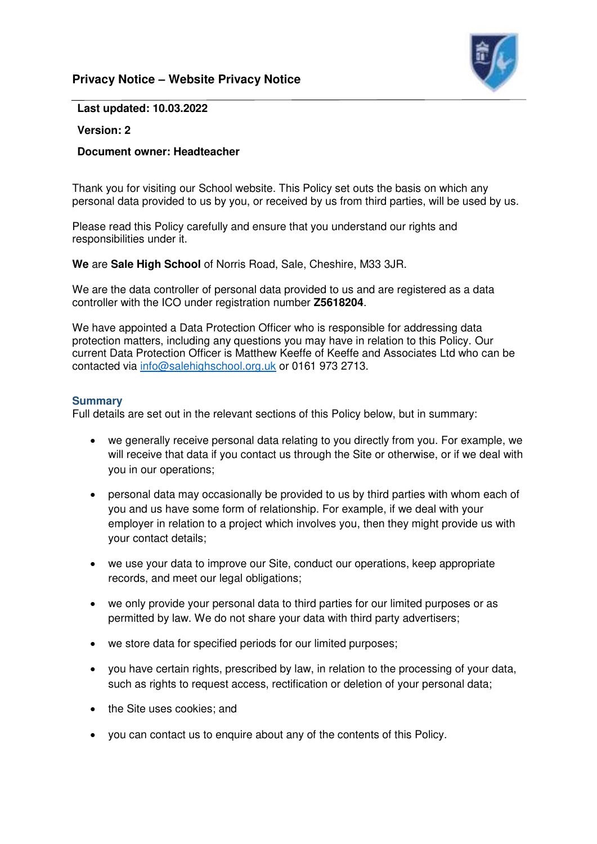# **Privacy Notice – Website Privacy Notice**



#### **Last updated: 10.03.2022**

## **Version: 2**

## **Document owner: Headteacher**

Thank you for visiting our School website. This Policy set outs the basis on which any personal data provided to us by you, or received by us from third parties, will be used by us.

Please read this Policy carefully and ensure that you understand our rights and responsibilities under it.

**We** are **Sale High School** of Norris Road, Sale, Cheshire, M33 3JR.

We are the data controller of personal data provided to us and are registered as a data controller with the ICO under registration number **Z5618204**.

We have appointed a Data Protection Officer who is responsible for addressing data protection matters, including any questions you may have in relation to this Policy. Our current Data Protection Officer is Matthew Keeffe of Keeffe and Associates Ltd who can be contacted via [info@salehighschool.org.uk](mailto:info@salehighschool.org.uk) or 0161 973 2713.

#### **Summary**

Full details are set out in the relevant sections of this Policy below, but in summary:

- we generally receive personal data relating to you directly from you. For example, we will receive that data if you contact us through the Site or otherwise, or if we deal with you in our operations;
- personal data may occasionally be provided to us by third parties with whom each of you and us have some form of relationship. For example, if we deal with your employer in relation to a project which involves you, then they might provide us with your contact details;
- we use your data to improve our Site, conduct our operations, keep appropriate records, and meet our legal obligations;
- we only provide your personal data to third parties for our limited purposes or as permitted by law. We do not share your data with third party advertisers;
- we store data for specified periods for our limited purposes;
- you have certain rights, prescribed by law, in relation to the processing of your data, such as rights to request access, rectification or deletion of your personal data;
- the Site uses cookies; and
- you can contact us to enquire about any of the contents of this Policy.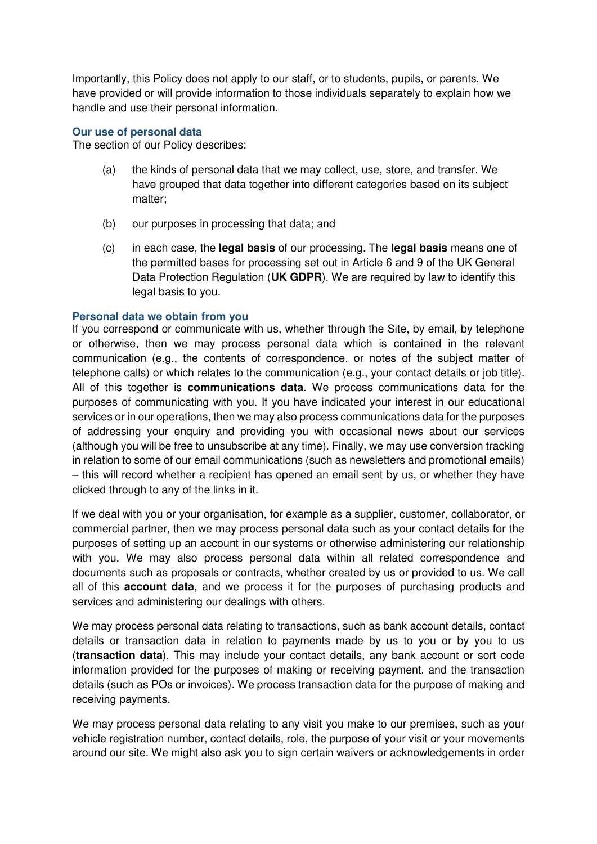Importantly, this Policy does not apply to our staff, or to students, pupils, or parents. We have provided or will provide information to those individuals separately to explain how we handle and use their personal information.

## **Our use of personal data**

The section of our Policy describes:

- (a) the kinds of personal data that we may collect, use, store, and transfer. We have grouped that data together into different categories based on its subject matter;
- (b) our purposes in processing that data; and
- (c) in each case, the **legal basis** of our processing. The **legal basis** means one of the permitted bases for processing set out in Article 6 and 9 of the UK General Data Protection Regulation (**UK GDPR**). We are required by law to identify this legal basis to you.

#### **Personal data we obtain from you**

If you correspond or communicate with us, whether through the Site, by email, by telephone or otherwise, then we may process personal data which is contained in the relevant communication (e.g., the contents of correspondence, or notes of the subject matter of telephone calls) or which relates to the communication (e.g., your contact details or job title). All of this together is **communications data**. We process communications data for the purposes of communicating with you. If you have indicated your interest in our educational services or in our operations, then we may also process communications data for the purposes of addressing your enquiry and providing you with occasional news about our services (although you will be free to unsubscribe at any time). Finally, we may use conversion tracking in relation to some of our email communications (such as newsletters and promotional emails) – this will record whether a recipient has opened an email sent by us, or whether they have clicked through to any of the links in it.

If we deal with you or your organisation, for example as a supplier, customer, collaborator, or commercial partner, then we may process personal data such as your contact details for the purposes of setting up an account in our systems or otherwise administering our relationship with you. We may also process personal data within all related correspondence and documents such as proposals or contracts, whether created by us or provided to us. We call all of this **account data**, and we process it for the purposes of purchasing products and services and administering our dealings with others.

We may process personal data relating to transactions, such as bank account details, contact details or transaction data in relation to payments made by us to you or by you to us (**transaction data**). This may include your contact details, any bank account or sort code information provided for the purposes of making or receiving payment, and the transaction details (such as POs or invoices). We process transaction data for the purpose of making and receiving payments.

We may process personal data relating to any visit you make to our premises, such as your vehicle registration number, contact details, role, the purpose of your visit or your movements around our site. We might also ask you to sign certain waivers or acknowledgements in order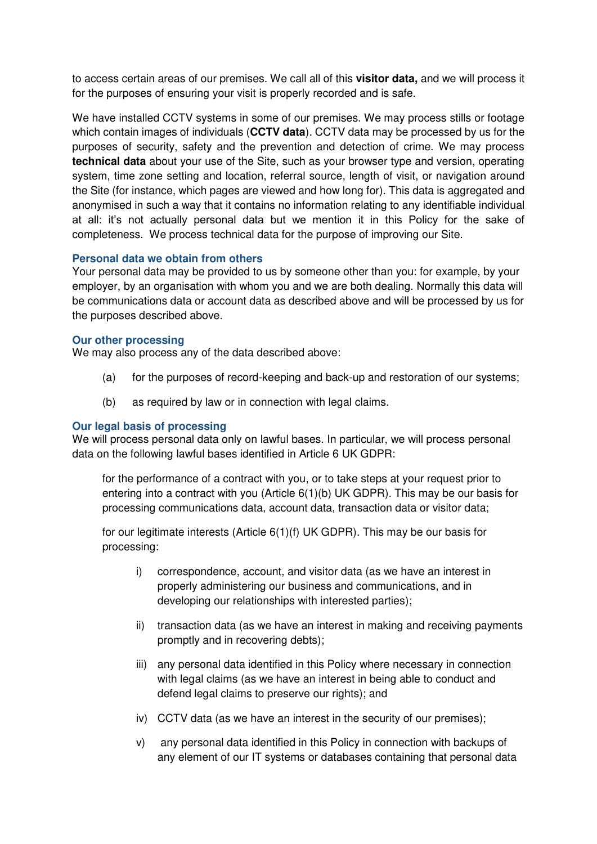to access certain areas of our premises. We call all of this **visitor data,** and we will process it for the purposes of ensuring your visit is properly recorded and is safe.

We have installed CCTV systems in some of our premises. We may process stills or footage which contain images of individuals (**CCTV data**). CCTV data may be processed by us for the purposes of security, safety and the prevention and detection of crime. We may process **technical data** about your use of the Site, such as your browser type and version, operating system, time zone setting and location, referral source, length of visit, or navigation around the Site (for instance, which pages are viewed and how long for). This data is aggregated and anonymised in such a way that it contains no information relating to any identifiable individual at all: it's not actually personal data but we mention it in this Policy for the sake of completeness. We process technical data for the purpose of improving our Site.

## **Personal data we obtain from others**

Your personal data may be provided to us by someone other than you: for example, by your employer, by an organisation with whom you and we are both dealing. Normally this data will be communications data or account data as described above and will be processed by us for the purposes described above.

#### **Our other processing**

We may also process any of the data described above:

- (a) for the purposes of record-keeping and back-up and restoration of our systems;
- (b) as required by law or in connection with legal claims.

#### **Our legal basis of processing**

We will process personal data only on lawful bases. In particular, we will process personal data on the following lawful bases identified in Article 6 UK GDPR:

for the performance of a contract with you, or to take steps at your request prior to entering into a contract with you (Article 6(1)(b) UK GDPR). This may be our basis for processing communications data, account data, transaction data or visitor data;

for our legitimate interests (Article 6(1)(f) UK GDPR). This may be our basis for processing:

- i) correspondence, account, and visitor data (as we have an interest in properly administering our business and communications, and in developing our relationships with interested parties);
- ii) transaction data (as we have an interest in making and receiving payments promptly and in recovering debts);
- iii) any personal data identified in this Policy where necessary in connection with legal claims (as we have an interest in being able to conduct and defend legal claims to preserve our rights); and
- iv) CCTV data (as we have an interest in the security of our premises);
- v) any personal data identified in this Policy in connection with backups of any element of our IT systems or databases containing that personal data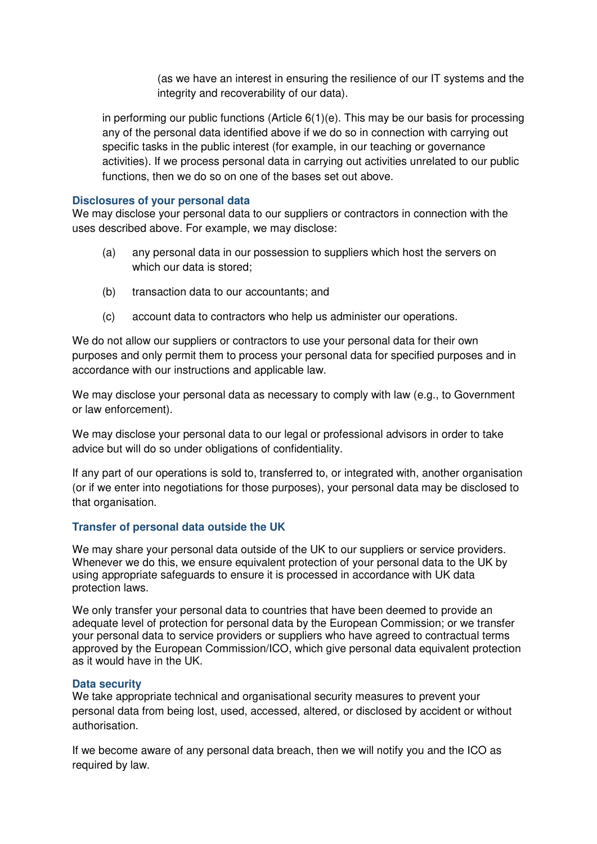(as we have an interest in ensuring the resilience of our IT systems and the integrity and recoverability of our data).

in performing our public functions (Article  $6(1)(e)$ . This may be our basis for processing any of the personal data identified above if we do so in connection with carrying out specific tasks in the public interest (for example, in our teaching or governance activities). If we process personal data in carrying out activities unrelated to our public functions, then we do so on one of the bases set out above.

## **Disclosures of your personal data**

We may disclose your personal data to our suppliers or contractors in connection with the uses described above. For example, we may disclose:

- (a) any personal data in our possession to suppliers which host the servers on which our data is stored;
- (b) transaction data to our accountants; and
- (c) account data to contractors who help us administer our operations.

We do not allow our suppliers or contractors to use your personal data for their own purposes and only permit them to process your personal data for specified purposes and in accordance with our instructions and applicable law.

We may disclose your personal data as necessary to comply with law (e.g., to Government or law enforcement).

We may disclose your personal data to our legal or professional advisors in order to take advice but will do so under obligations of confidentiality.

If any part of our operations is sold to, transferred to, or integrated with, another organisation (or if we enter into negotiations for those purposes), your personal data may be disclosed to that organisation.

## **Transfer of personal data outside the UK**

We may share your personal data outside of the UK to our suppliers or service providers. Whenever we do this, we ensure equivalent protection of your personal data to the UK by using appropriate safeguards to ensure it is processed in accordance with UK data protection laws.

We only transfer your personal data to countries that have been deemed to provide an adequate level of protection for personal data by the European Commission; or we transfer your personal data to service providers or suppliers who have agreed to contractual terms approved by the European Commission/ICO, which give personal data equivalent protection as it would have in the UK.

#### **Data security**

We take appropriate technical and organisational security measures to prevent your personal data from being lost, used, accessed, altered, or disclosed by accident or without authorisation.

If we become aware of any personal data breach, then we will notify you and the ICO as required by law.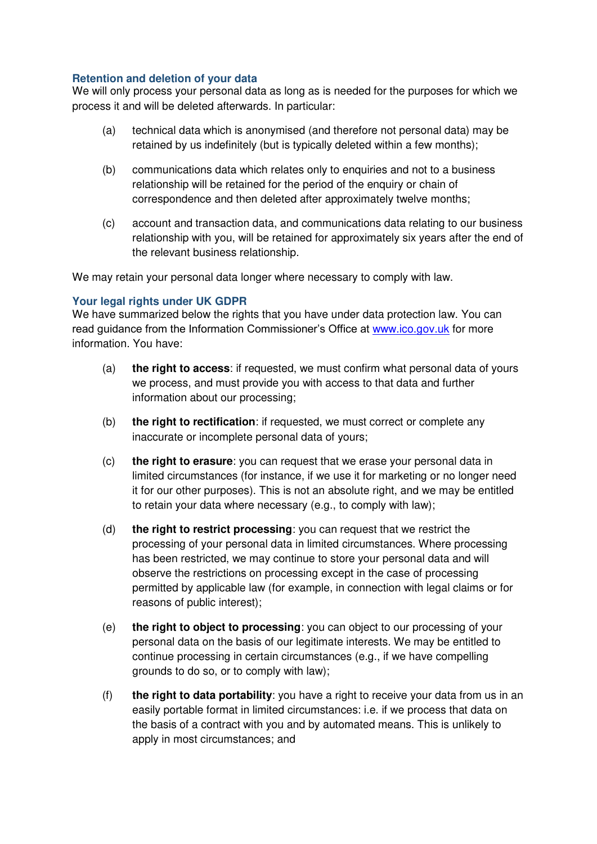## **Retention and deletion of your data**

We will only process your personal data as long as is needed for the purposes for which we process it and will be deleted afterwards. In particular:

- (a) technical data which is anonymised (and therefore not personal data) may be retained by us indefinitely (but is typically deleted within a few months);
- (b) communications data which relates only to enquiries and not to a business relationship will be retained for the period of the enquiry or chain of correspondence and then deleted after approximately twelve months;
- (c) account and transaction data, and communications data relating to our business relationship with you, will be retained for approximately six years after the end of the relevant business relationship.

We may retain your personal data longer where necessary to comply with law.

## **Your legal rights under UK GDPR**

We have summarized below the rights that you have under data protection law. You can read guidance from the Information Commissioner's Office at [www.ico.gov.uk](http://www.ico.gov.uk/) for more information. You have:

- (a) **the right to access**: if requested, we must confirm what personal data of yours we process, and must provide you with access to that data and further information about our processing;
- (b) **the right to rectification**: if requested, we must correct or complete any inaccurate or incomplete personal data of yours;
- (c) **the right to erasure**: you can request that we erase your personal data in limited circumstances (for instance, if we use it for marketing or no longer need it for our other purposes). This is not an absolute right, and we may be entitled to retain your data where necessary (e.g., to comply with law);
- (d) **the right to restrict processing**: you can request that we restrict the processing of your personal data in limited circumstances. Where processing has been restricted, we may continue to store your personal data and will observe the restrictions on processing except in the case of processing permitted by applicable law (for example, in connection with legal claims or for reasons of public interest);
- (e) **the right to object to processing**: you can object to our processing of your personal data on the basis of our legitimate interests. We may be entitled to continue processing in certain circumstances (e.g., if we have compelling grounds to do so, or to comply with law);
- (f) **the right to data portability**: you have a right to receive your data from us in an easily portable format in limited circumstances: i.e. if we process that data on the basis of a contract with you and by automated means. This is unlikely to apply in most circumstances; and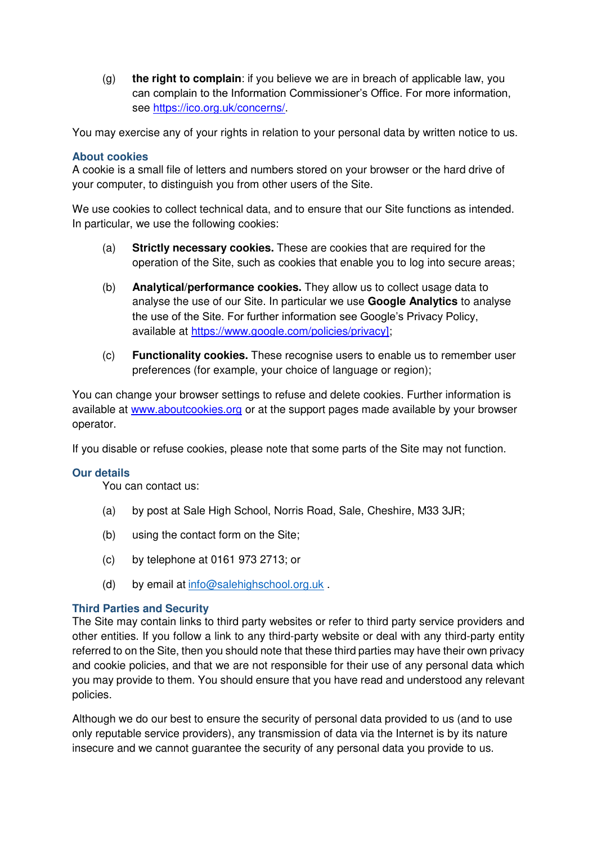(g) **the right to complain**: if you believe we are in breach of applicable law, you can complain to the Information Commissioner's Office. For more information, see [https://ico.org.uk/concerns/.](https://ico.org.uk/concerns/)

You may exercise any of your rights in relation to your personal data by written notice to us.

#### **About cookies**

A cookie is a small file of letters and numbers stored on your browser or the hard drive of your computer, to distinguish you from other users of the Site.

We use cookies to collect technical data, and to ensure that our Site functions as intended. In particular, we use the following cookies:

- (a) **Strictly necessary cookies.** These are cookies that are required for the operation of the Site, such as cookies that enable you to log into secure areas;
- (b) **Analytical/performance cookies.** They allow us to collect usage data to analyse the use of our Site. In particular we use **Google Analytics** to analyse the use of the Site. For further information see Google's Privacy Policy, available at [https://www.google.com/policies/privacy\]](https://www.google.com/policies/privacy);
- (c) **Functionality cookies.** These recognise users to enable us to remember user preferences (for example, your choice of language or region);

You can change your browser settings to refuse and delete cookies. Further information is available at [www.aboutcookies.org](http://www.aboutcookies.org/) or at the support pages made available by your browser operator.

If you disable or refuse cookies, please note that some parts of the Site may not function.

#### **Our details**

You can contact us:

- (a) by post at Sale High School, Norris Road, Sale, Cheshire, M33 3JR;
- (b) using the contact form on the Site;
- (c) by telephone at 0161 973 2713; or
- (d) by email at  $info@salehighschool.org.uk$ .

#### **Third Parties and Security**

The Site may contain links to third party websites or refer to third party service providers and other entities. If you follow a link to any third-party website or deal with any third-party entity referred to on the Site, then you should note that these third parties may have their own privacy and cookie policies, and that we are not responsible for their use of any personal data which you may provide to them. You should ensure that you have read and understood any relevant policies.

Although we do our best to ensure the security of personal data provided to us (and to use only reputable service providers), any transmission of data via the Internet is by its nature insecure and we cannot guarantee the security of any personal data you provide to us.